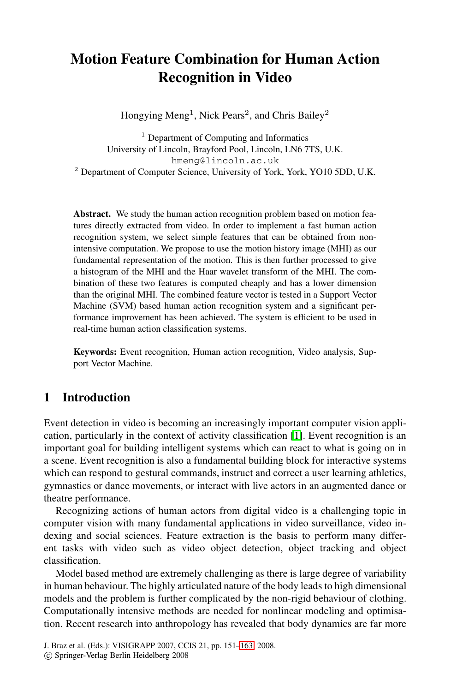# **Motion Feature Combination for Human Action Recognition in Video**

Hongying Meng<sup>1</sup>, Nick Pears<sup>2</sup>, and Chris Bailey<sup>2</sup>

<sup>1</sup> Department of Computing and Informatics University of Lincoln, Brayford Pool, Lincoln, LN6 7TS, U.K. hmeng@lincoln.ac.uk <sup>2</sup> Department of Computer Science, University of York, York, YO10 5DD, U.K.

**Abstract.** We study the human action recognition problem based on motion features directly extracted from video. In order to implement a fast human action recognition system, we select simple features that can be obtained from nonintensive computation. We propose to use the motion history image (MHI) as our fundamental representation of the motion. This is then further processed to give a histogram of the MHI and the Haar wavelet transform of the MHI. The combination of these two features is computed cheaply and has a lower dimension than the original MHI. The combined feature vector is tested in a Support Vector Machine (SVM) based human action recognition system and a significant performance improvement has been achieved. The system is efficient to be used in real-time human action classification systems.

**Keywords:** Event recognition, Human action recognition, Video analysis, Support Vector Machine.

# **1 Introduction**

Event detection in video is becoming an increasingly important computer vision application, particularly in the context of activity classification [1]. Event recognition is an important goal for building intelligent systems which can react to what is going on in a scene. Event recognition is also a fundamental building block for interactive systems which can respond to gestural commands, instruct and correct a user learning athletics, gymnastics or dance movements, or interact with live actors in an augmented dance or theatre performance.

Recognizing actions of human actors from digital video is a challenging topic in computer vision with many fundamental applications in video surveillance, video indexing and social sciences. Feature extraction is the basis to perform many different tasks with video su[ch a](#page-12-0)s video object detection, object tracking and object classification.

Model based method are extremely challenging as there is large degree of variability in human behaviour. The highly articulated nature of the body leads to high dimensional models and the problem is further complicated by the non-rigid behaviour of clothing. Computationally intensive methods are needed for nonlinear modeling and optimisation. Recent research into anthropology has revealed that body dynamics are far more

J. Braz et al. (Eds.): VISIGRAPP 2007, CCIS 21, pp. 151–163, 2008.

<sup>-</sup>c Springer-Verlag Berlin Heidelberg 2008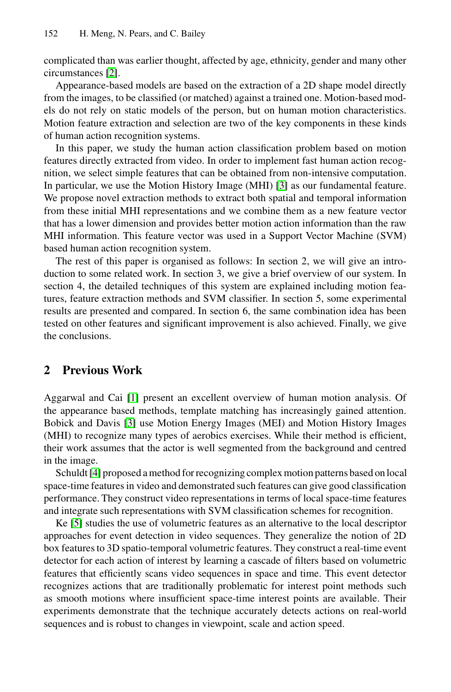complicated than was earlier thought, affected by age, ethnicity, gender and many other circumstances [2].

Appearance-based models are b[ase](#page-12-1)d on the extraction of a 2D shape model directly from the images, to be classified (or matched) against a trained one. Motion-based models do not rely on static models of the person, but on human motion characteristics. Motion feature extraction and selection are two of the key components in these kinds of human action recognition systems.

In this paper, we study the human action classification problem based on motion features directly extracted from video. In order to implement fast human action recognition, we select simple features that can be obtained from non-intensive computation. In particular, we use the Motion History Image (MHI) [3] as our fundamental feature. We propose novel extraction methods to extract both spatial and temporal information from these initial MHI representations and we combine them as a new feature vector that has a lower dimension and provides better motion action information than the raw MHI information. This feature vector was used in a Support Vector Machine (SVM) based human action recognition system.

The rest of this paper is organised as follows: In section 2, we will give an introduction to some related work. In section 3, we give a brief overview of our system. In section 4, the detailed techniques of this system are explained including motion fea[tu](#page-12-2)res, feature extraction methods and SVM classifier. In section 5, some experimental results are presented and compared. In section 6, the same combination idea has been [te](#page-12-1)sted on other features and significant improvement is also achieved. Finally, we give the conclusions.

# **2 Previous Work**

Aggarwal and Cai [1] present an excellent overview of human motion analysis. Of the appearance based methods, template matching has increasingly gained attention. Bobick and Davis [3] use Motion Energy Images (MEI) and Motion History Images (MHI) to recognize many types of aerobics exercises. While their method is efficient, their work assumes that the actor is well segmented from the background and centred in the image.

Schuldt [4] proposed a method for recognizing complex motion patterns based on local space-time features in video and demonstrated such features can give good classification performance. They construct video representations in terms of local space-time features and integrate such representations with SVM classification schemes for recognition.

Ke [5] studies the use of volumetric features as an alternative to the local descriptor approaches for event detection in video sequences. They generalize the notion of 2D box features to 3D spatio-temporal volumetric features. They construct a real-time event detector for each action of interest by learning a cascade of filters based on volumetric features that efficiently scans video sequences in space and time. This event detector recognizes actions that are traditionally problematic for interest point methods such as smooth motions where insufficient space-time interest points are available. Their experiments demonstrate that the technique accurately detects actions on real-world sequences and is robust to changes in viewpoint, scale and action speed.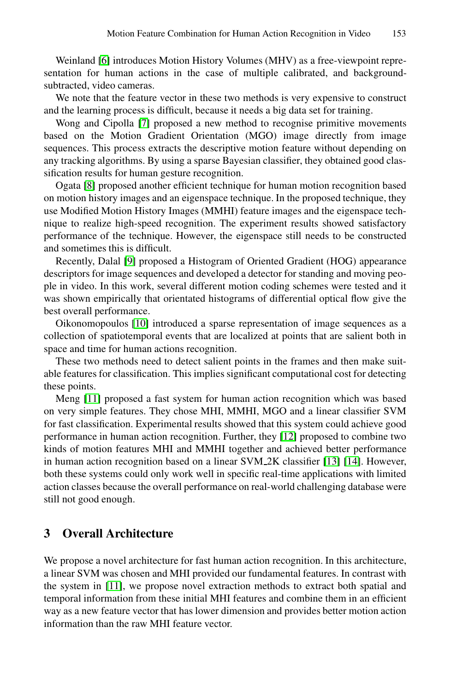Weinland [6] introduces Motion History Volumes (MHV) as a free-viewpoint representation for human actions in the case of multiple calibrated, and backgroundsubtracted, video cameras.

We note that the feature vector in these two methods is very expensive to construct and the learning process is difficult, because it needs a big data set for training.

Wong and Cipolla [7] proposed a new method to recognise primitive movements based on the Motion Gradient Orientation (MGO) image directly from image sequences. This process extracts the descriptive motion feature without depending on [a](#page-12-3)ny tracking algorithms. By using a sparse Bayesian classifier, they obtained good classification results for human gesture recognition.

Ogata [8] proposed another efficient technique for human motion recognition based on motion history images and an eigenspace technique. In the proposed technique, they use Modified Motion History Images (MMHI) feature images and the eigenspace tech[niqu](#page-12-4)e to realize high-speed recognition. The experiment results showed satisfactory performance of the technique. However, the eigenspace still needs to be constructed and sometimes this is difficult.

Recently, Dalal [9] proposed a Histogram of Oriented Gradient (HOG) appearance descriptors for image sequences and developed a detector for standing and moving people in video. In this work, several different motion coding schemes were tested and it was shown empirically that orientated histograms of differential optical flow give the best overall performance.

Oikonomopoulos [10] introduced a sparse representation of image sequences as a collection of spatiotemporal events [that](#page-12-5) are localized at points that are salient both in space and time for human actions recognition.

These two methods need to detect salient [poin](#page-12-6)t[s in](#page-12-7) the frames and then make suitable features for classification. This implies significant computational cost for detecting these points.

Meng [11] proposed a fast system for human action recognition which was based on very simple features. They chose MHI, MMHI, MGO and a linear classifier SVM for fast classification. Experimental results showed that this system could achieve good performance in human action recognition. Further, they [12] proposed to combine two kinds of motion features MHI and MMHI together and achieved better performance in human action recognition based on a linear SVM 2K classifier [13] [14]. However, both these systems could only work well in specific real-time applications with limited action classes because the overall performance on real-world challenging database were still not good enough.

# **3 Overall Architecture**

We propose a novel architecture for fast human action recognition. In this architecture, a linear SVM was chosen and MHI provided our fundamental features. In contrast with the system in [11], we propose novel extraction methods to extract both spatial and temporal information from these initial MHI features and combine them in an efficient way as a new feature vector that has lower dimension and provides better motion action information than the raw MHI feature vector.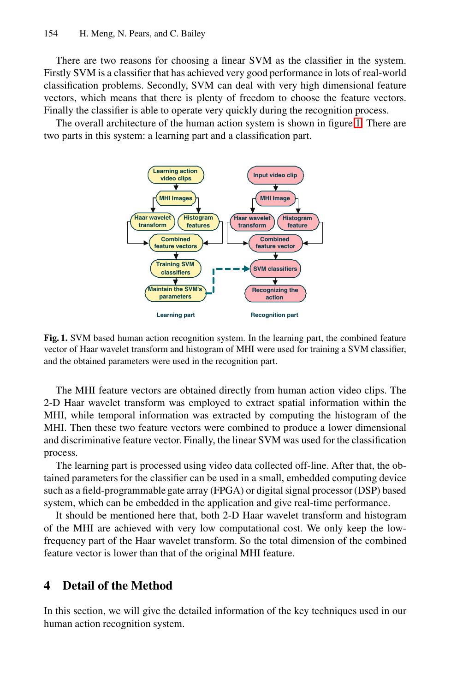There are two reasons for choosing a linear SVM as the classifier in the system. Firstly SVM is a classifier that has achieved very good performance in lots of real-world classification problems. Secondly, SVM can deal with very high dimensional feature vectors, which means that there is plenty of freedom to choose the feature vectors. Finally the classifier is able to operate very quickly during the recognition process.

The overall architecture of the human action system is shown in figure 1. There are two parts in this system: a learning part and a classification part.



**Fig. 1.** SVM based human action recognition system. In the learning part, the combined feature vector of Haar wavelet transform and histogram of MHI were used for training a SVM classifier, and the obtained parameters were used in the recognition part.

The MHI feature vectors are obtained directly from human action video clips. The 2-D Haar wavelet transform was employed to extract spatial information within the MHI, while temporal information was extracted by computing the histogram of the MHI. Then these two feature vectors were combined to produce a lower dimensional and discriminative feature vector. Finally, the linear SVM was used for the classification process.

The learning part is processed using video data collected off-line. After that, the obtained parameters for the classifier can be used in a small, embedded computing device such as a field-programmable gate array (FPGA) or digital signal processor (DSP) based system, which can be embedded in the application and give real-time performance.

It should be mentioned here that, both 2-D Haar wavelet transform and histogram of the MHI are achieved with very low computational cost. We only keep the lowfrequency part of the Haar wavelet transform. So the total dimension of the combined feature vector is lower than that of the original MHI feature.

### **4 Detail of the Method**

In this section, we will give the detailed information of the key techniques used in our human action recognition system.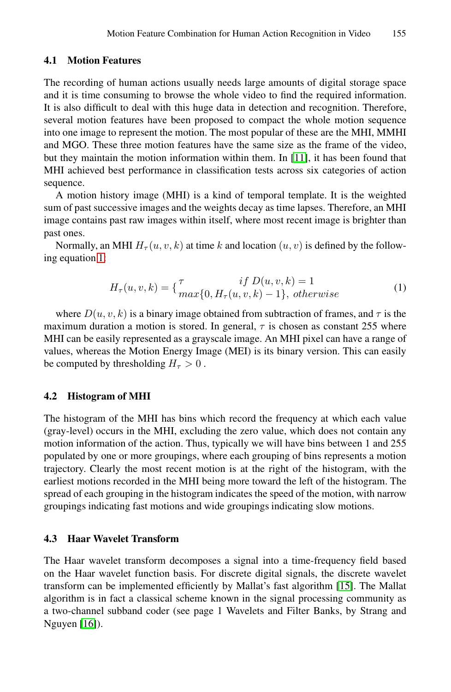#### **4.1 Motion Features**

The recording of human actions usually needs large amounts of digital storage space and it is time consuming to browse the whole video to find the required information. It is also difficult to deal with this huge data in detection and recognition. Therefore, several motion features have been proposed to compact the whole motion sequence into one image to represent the motion. The most popular of these are the MHI, MMHI and MGO. These three motion features have the same size as the frame of the video, but they maintain the motion information within them. In [11], it has been found that MHI achieved best performance in classification tests across six categories of action sequence.

A motion history image (MHI) is a kind of temporal template. It is the weighted sum of past successive images and the weights decay as time lapses. Therefore, an MHI image contains past raw images within itself, where most recent image is brighter than past ones.

Normally, an MHI  $H_{\tau}(u, v, k)$  at time k and location  $(u, v)$  is defined by the following equation 1:

$$
H_{\tau}(u, v, k) = \{ \begin{array}{c} \tau & if \ D(u, v, k) = 1 \\ max\{0, H_{\tau}(u, v, k) - 1\}, \ otherwise \end{array} \tag{1}
$$

where  $D(u, v, k)$  is a binary image obtained from subtraction of frames, and  $\tau$  is the maximum duration a motion is stored. In general,  $\tau$  is chosen as constant 255 where MHI can be easily represented as a grayscale image. An MHI pixel can have a range of values, whereas the Motion Energy Image (MEI) is its binary version. This can easily be computed by thresholding  $H_{\tau} > 0$ .

#### **4.2 Histogram of MHI**

The histogram of the MHI has bins which record the frequency at which each value (gray-level) occurs in the MHI, excluding the zero value, which does not contain any motion information of the action. Thus, typically we will have bins between 1 and 255 populated by one or more groupings, where each grouping of bins represents a motion trajectory. Clearly the most recent motion is at the right of the histogram, with the earliest motions recorded in the MHI being more toward the left of the histogram. The spread of each grouping in the histogram indicate[s](#page-12-8) [the](#page-12-8) speed of the motion, with narrow groupings indicating fast motions and wide groupings indicating slow motions.

#### **4.3 Haar Wavelet Transform**

The Haar wavelet transform decomposes a signal into a time-frequency field based on the Haar wavelet function basis. For discrete digital signals, the discrete wavelet transform can be implemented efficiently by Mallat's fast algorithm [15]. The Mallat algorithm is in fact a classical scheme known in the signal processing community as a two-channel subband coder (see page 1 Wavelets and Filter Banks, by Strang and Nguyen [16]).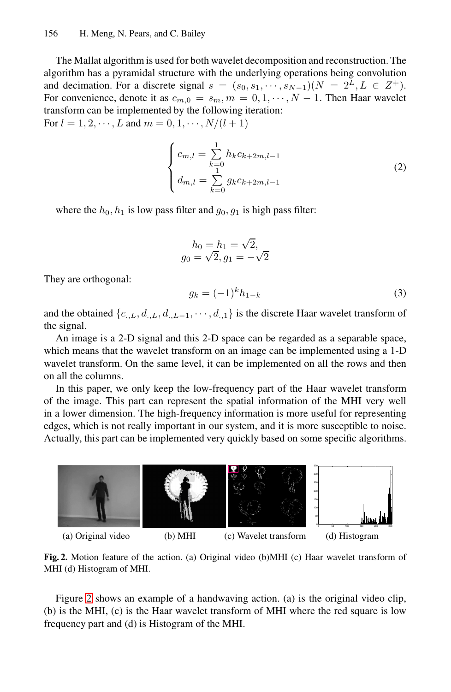The Mallat algorithm is used for both wavelet decomposition and reconstruction. The algorithm has a pyramidal structure with the underlying operations being convolution and decimation. For a discrete signal  $s = (s_0, s_1, \dots, s_{N-1})(N = 2^L, L \in \mathbb{Z}^+).$ For convenience, denote it as  $c_{m,0} = s_m, m = 0, 1, \dots, N - 1$ . Then Haar wavelet transform can be implemented by the following iteration: For  $l = 1, 2, \dots, L$  and  $m = 0, 1, \dots, N/(l + 1)$ 

$$
\begin{cases} c_{m,l} = \sum_{k=0}^{1} h_k c_{k+2m,l-1} \\ d_{m,l} = \sum_{k=0}^{1} g_k c_{k+2m,l-1} \end{cases}
$$
 (2)

where the  $h_0$ ,  $h_1$  is low pass filter and  $g_0$ ,  $g_1$  is high pass filter:

$$
h_0 = h_1 = \sqrt{2}, g_0 = \sqrt{2}, g_1 = -\sqrt{2}
$$

They are orthogonal:

$$
g_k = (-1)^k h_{1-k}
$$
 (3)

and the obtained  $\{c_{.,L}, d_{.,L}, d_{.,L-1}, \cdots, d_{.,1}\}$  is the discrete Haar wavelet transform of the signal.

An image is a 2-D signal and this 2-D space can be regarded as a separable space, which means that the wavelet transform on an image can be implemented using a 1-D wavelet transform. On the same level, it can be implemented on all the rows and then on all the columns.

In this paper, we only keep the low-frequency part of the Haar wavelet transform of the image. This part can represent the spatial information of the MHI very well in a lower dimension. The high-frequency information is more useful for representing edges, which is not really important in our system, and it is more susceptible to noise. Actually, this part can be implemented very quickly based on some specific algorithms.



**Fig. 2.** Motion feature of the action. (a) Original video (b)MHI (c) Haar wavelet transform of MHI (d) Histogram of MHI.

Figure 2 shows an example of a handwaving action. (a) is the original video clip, (b) is the MHI, (c) is the Haar wavelet transform of MHI where the red square is low frequency part and (d) is Histogram of the MHI.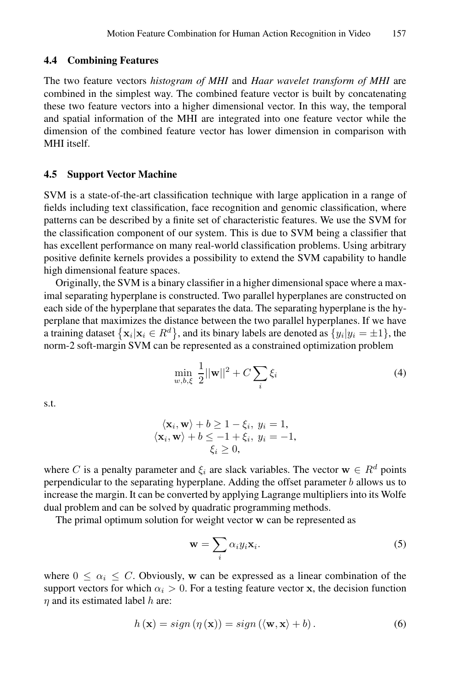#### **4.4 Combining Features**

The two feature vectors *histogram of MHI* and *Haar wavelet transform of MHI* are combined in the simplest way. The combined feature vector is built by concatenating these two feature vectors into a higher dimensional vector. In this way, the temporal and spatial information of the MHI are integrated into one feature vector while the dimension of the combined feature vector has lower dimension in comparison with MHI itself.

#### **4.5 Support Vector Machine**

SVM is a state-of-the-art classification technique with large application in a range of fields including text classification, face recognition and genomic classification, where patterns can be described by a finite set of characteristic features. We use the SVM for the classification component of our system. This is due to SVM being a classifier that has excellent performance on many real-world classification problems. Using arbitrary positive definite kernels provides a possibility to extend the SVM capability to handle high dimensional feature spaces.

Originally, the SVM is a binary classifier in a higher dimensional space where a maximal separating hyperplane is constructed. Two parallel hyperplanes are constructed on each side of the hyperplane that separates the data. The separating hyperplane is the hyperplane that maximizes the distance between the two parallel hyperplanes. If we have a training dataset  $\left\{\mathbf{x}_i|\mathbf{x}_i \in R^d\right\}$ , and its binary labels are denoted as  $\{y_i|y_i=\pm 1\}$ , the norm-2 soft-margin SVM can be represented as a constrained optimization problem

$$
\min_{w,b,\xi} \frac{1}{2} ||\mathbf{w}||^2 + C \sum_{i} \xi_i
$$
 (4)

s.t.

$$
\langle \mathbf{x}_i, \mathbf{w} \rangle + b \ge 1 - \xi_i, y_i = 1, \langle \mathbf{x}_i, \mathbf{w} \rangle + b \le -1 + \xi_i, y_i = -1, \xi_i \ge 0,
$$

where C is a penalty parameter and  $\xi_i$  are slack variables. The vector **w**  $\in R^d$  points perpendicular to the separating hyperplane. Adding the offset parameter b allows us to increase the margin. It can be converted by applying Lagrange multipliers into its Wolfe dual problem and can be solved by quadratic programming methods.

The primal optimum solution for weight vector **w** can be represented as

$$
\mathbf{w} = \sum_{i} \alpha_i y_i \mathbf{x}_i. \tag{5}
$$

where  $0 \leq \alpha_i \leq C$ . Obviously, w can be expressed as a linear combination of the support vectors for which  $\alpha_i > 0$ . For a testing feature vector **x**, the decision function  $\eta$  and its estimated label h are:

$$
h(\mathbf{x}) = sign(\eta(\mathbf{x})) = sign(\langle \mathbf{w}, \mathbf{x} \rangle + b).
$$
 (6)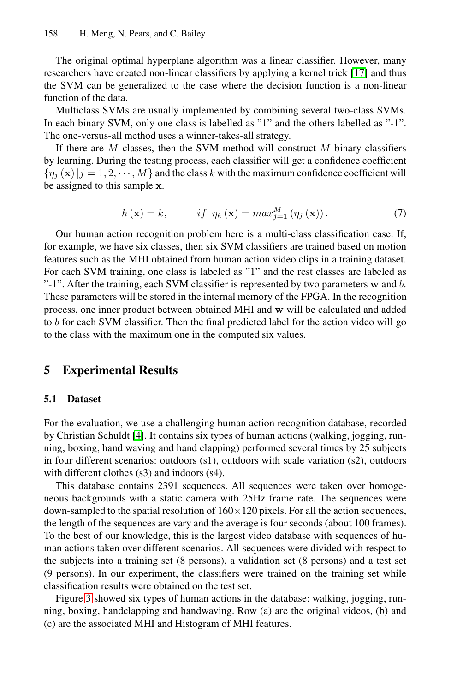The original optimal hyperplane algorithm was a linear classifier. However, many researchers have created non-linear classifiers by applying a kernel trick [17] and thus the SVM can be generalized to the case where the decision function is a non-linear function of the data.

Multiclass SVMs are usually implemented by combining several two-class SVMs. In each binary SVM, only one class is labelled as "1" and the others labelled as "-1". The one-versus-all method uses a winner-takes-all strategy.

If there are  $M$  classes, then the SVM method will construct  $M$  binary classifiers by learning. During the testing process, each classifier will get a confidence coefficient  ${\eta_i(\mathbf{x})|j=1,2,\cdots,M}$  and the class k with the maximum confidence coefficient will be assigned to this sample **x**.

$$
h\left(\mathbf{x}\right) = k, \qquad \quad \text{if} \ \ \eta_k\left(\mathbf{x}\right) = \max_{j=1}^M \left(\eta_j\left(\mathbf{x}\right)\right). \tag{7}
$$

Our human action recognition problem here is a multi-class classification case. If, for example, we have six classes, then six SVM classifiers are trained based on motion features such as the MHI obtained from human action video clips in a training dataset. For each SVM training, one class is labeled as "1" and the rest classes are labeled as "-1". After the training, each SVM classifier is represented by two parameters **w** and b. These parameters will be stored in the internal memory of the FPGA. In the recognition process, one inner product between obtained MHI and **w** will be calculated and added to b for each SVM classifier. Then the final predicted label for the action video will go t[o t](#page-12-9)he class with the maximum one in the computed six values.

# **5 Experimental Results**

#### **5.1 Dataset**

For the evaluation, we use a challenging human action recognition database, recorded by Christian Schuldt [4]. It contains six types of human actions (walking, jogging, running, boxing, hand waving and hand clapping) performed several times by 25 subjects in four different scenarios: outdoors (s1), outdoors with scale variation (s2), outdoors with different clothes (s3) and indoors (s4).

This database contains 2391 sequences. All sequences were taken over homogeneous backgrounds with a static camera with 25Hz frame rate. The sequences were down-sampled to the spatial resolution of  $160 \times 120$  pixels. For all the action sequences, the length of the sequences are vary and the average is four seconds (about 100 frames). To the best of our knowledge, this is the largest video database with sequences of human actions taken over different scenarios. All sequences were divided with respect to the subjects into a training set (8 persons), a validation set (8 persons) and a test set (9 persons). In our experiment, the classifiers were trained on the training set while classification results were obtained on the test set.

Figure 3 showed six types of human actions in the database: walking, jogging, running, boxing, handclapping and handwaving. Row (a) are the original videos, (b) and (c) are the associated MHI and Histogram of MHI features.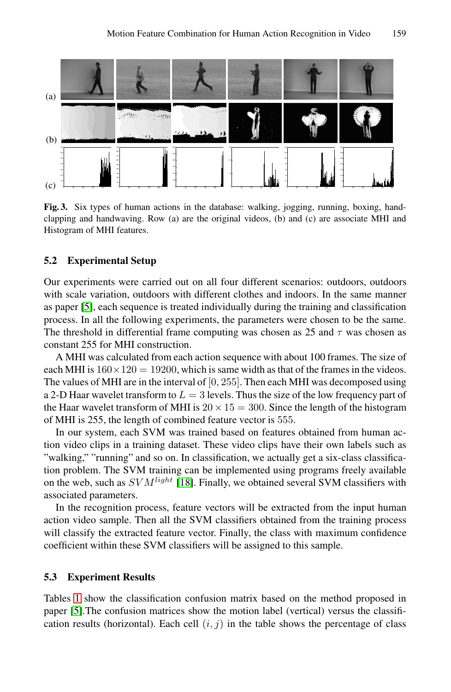

**Fig. 3.** Six types of human actions in the database: walking, jogging, running, boxing, handclapping and handwaving. Row (a) are the original videos, (b) and (c) are associate MHI and Histogram of MHI features.

#### **5.2 Experimental Setup**

Our experiments were carried out on all four different scenarios: outdoors, outdoors with scale variation, outdoors with different clothes and indoors. In the same manner as paper [5], each sequence is treated individually during the training and classification process. In all the following experiments, the parameters were chosen to be the same. The threshold in differential frame computing was chosen as 25 and  $\tau$  was chosen as constant 255 for MHI construction.

A MHI was calculated from each action sequence with about 100 frames. The size of each MHI is  $160 \times 120 = 19200$ , which is same width as that of the frames in the videos. The values [of M](#page-12-10)HI are in the interval of [0, 255]. Then each MHI was decomposed using a 2-D Haar wavelet transform to  $L = 3$  levels. Thus the size of the low frequency part of the Haar wavelet transform of MHI is  $20 \times 15 = 300$ . Since the length of the histogram of MHI is 255, the length of combined feature vector is 555.

In our system, each SVM was trained based on features obtained from human action video clips in a training dataset. These video clips have their own labels such as "walking," "running" and so on. In classification, we actually get a six-class classification problem. The SVM training can be implemented using programs freely available on the web, such as  $SVM<sup>light</sup>$  [18]. Finally, we obtained several SVM classifiers with associated parameters.

In the recognition process, feature vectors will be extracted from the input human action video sample. Then all the SVM classifiers obtained from the training process will classify the extracted feature vector. Finally, the class with maximum confidence coefficient within these SVM classifiers will be assigned to this sample.

#### **5.3 Experiment Results**

Tables 1 show the classification confusion matrix based on the method proposed in paper [5].The confusion matrices show the motion label (vertical) versus the classification results (horizontal). Each cell  $(i, j)$  in the table shows the percentage of class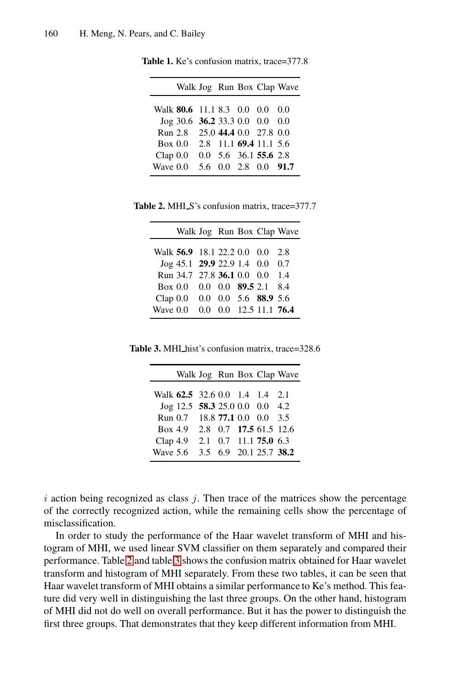Table 1. Ke's confusion matrix, trace=377.8

|                               |                                                                    |  |  | Walk Jog Run Box Clap Wave |
|-------------------------------|--------------------------------------------------------------------|--|--|----------------------------|
|                               | Walk 80.6 11.1 8.3 0.0 0.0 0.0<br>Jog 30.6 36.2 33.3 0.0 0.0 0.0   |  |  |                            |
|                               | Run 2.8 25.0 44.4 0.0 27.8 0.0                                     |  |  |                            |
|                               | Box 0.0 2.8 11.1 69.4 11.1 5.6<br>Clap $0.0$ 0.0 5.6 36.1 55.6 2.8 |  |  |                            |
| Wave 0.0 5.6 0.0 2.8 0.0 91.7 |                                                                    |  |  |                            |

Table 2. MHI\_S's confusion matrix, trace=377.7

|            |                                   |  |                                                  | Walk Jog Run Box Clap Wave |
|------------|-----------------------------------|--|--------------------------------------------------|----------------------------|
|            | Walk 56.9 18.1 22.2 0.0 0.0       |  |                                                  | 2.8                        |
|            | $\log 45.1$ 29.9 22.9 1.4 0.0 0.7 |  |                                                  |                            |
|            | Run 34.7 27.8 36.1 0.0 0.0 1.4    |  |                                                  |                            |
|            | Box 0.0 0.0 0.0 89.5 2.1 8.4      |  |                                                  |                            |
|            | Clap 0.0 0.0 0.0 5.6 88.9 5.6     |  |                                                  |                            |
| Wave $0.0$ |                                   |  | $0.0 \quad 0.0 \quad 12.5 \quad 11.1 \quad 76.4$ |                            |

Table 3. MHI hist's confusion matrix, trace=328.6

|                                 |                                |  |  | Walk Jog Run Box Clap Wave |
|---------------------------------|--------------------------------|--|--|----------------------------|
|                                 | Walk 62.5 32.6 0.0 1.4 1.4 2.1 |  |  |                            |
|                                 | Jog 12.5 58.3 25.0 0.0 0.0 4.2 |  |  |                            |
|                                 | Run 0.7 18.8 77.1 0.0 0.0 3.5  |  |  |                            |
|                                 | Box 4.9 2.8 0.7 17.5 61.5 12.6 |  |  |                            |
|                                 | Clap 4.9 2.1 0.7 11.1 75.0 6.3 |  |  |                            |
| Wave 5.6 3.5 6.9 20.1 25.7 38.2 |                                |  |  |                            |
|                                 |                                |  |  |                            |

 $i$  action being recognized as class  $j$ . Then trace of the matrices show the percentage of the correctly recognized action, while the remaining cells show the percentage of misclassification.

In order to study the performance of the Haar wavelet transform of MHI and histogram of MHI, we used linear SVM classifier on them separately and compared their performance. Table 2 and table 3 shows the confusion matrix obtained for Haar wavelet transform and histogram of MHI separately. From these two tables, it can be seen that Haar wavelet transform of MHI obtains a similar performance to Ke's method. This feature did very well in distinguishing the last three groups. On the other hand, histogram of MHI did not do well on overall performance. But it has the power to distinguish the first three groups. That demonstrates that they keep different information from MHI.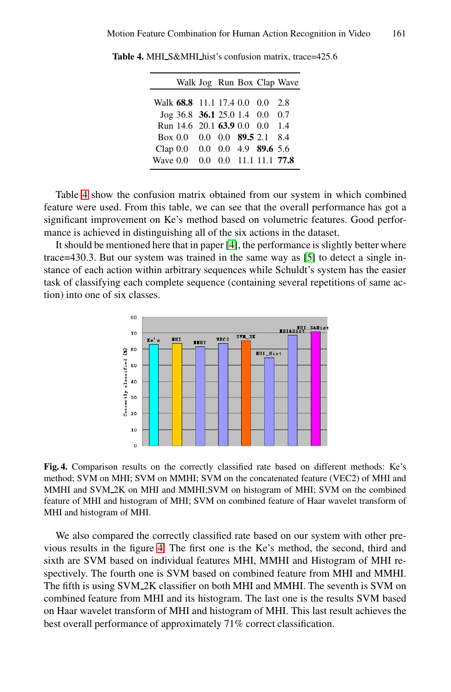|                                  |  |  | Walk Jog Run Box Clap Wave |
|----------------------------------|--|--|----------------------------|
| Walk 68.8 11.1 17.4 0.0 0.0 2.8  |  |  |                            |
| $Jog$ 36.8 36.1 25.0 1.4 0.0 0.7 |  |  |                            |
| Run 14.6 20.1 63.9 0.0 0.0 1.4   |  |  |                            |
| Box 0.0 0.0 0.0 89.5 2.1 8.4     |  |  |                            |

Clap 0.0 0.0 0.0 4.9 **89.6** 5.6 Wave 0.0 0.0 [0.0](#page-12-11) 11.1 11.1 **77.8**

Table 4. MHI\_S&MHI\_hist's confusion matrix, trace=425.6

Table 4 show the confusion matrix obtained from our system in which combined feature were used. From this table, we can see that the overall performance has got a significant improvement on Ke's method based on volumetric features. Good performance is achieved in distinguishing all of the six actions in the dataset.

It should be mentioned here that in paper [4], the performance is slightly better where trace=430.3. But our system was trained in the same way as [5] to detect a single instance of each action within arbitrary sequences while Schuldt's system has the easier task of classifying each complete sequence (containing several repetitions of same action) into one of six classes.



**Fig. 4.** Comparison results on the correctly classified rate based on different methods: Ke's method; SVM on MHI; SVM on MMHI; SVM on the concatenated feature (VEC2) of MHI and MMHI and SVM\_2K on MHI and MMHI;SVM on histogram of MHI; SVM on the combined feature of MHI and histogram of MHI; SVM on combined feature of Haar wavelet transform of MHI and histogram of MHI.

We also compared the correctly classified rate based on our system with other previous results in the figure 4. The first one is the Ke's method, the second, third and sixth are SVM based on individual features MHI, MMHI and Histogram of MHI respectively. The fourth one is SVM based on combined feature from MHI and MMHI. The fifth is using SVM 2K classifier on both MHI and MMHI. The seventh is SVM on combined feature from MHI and its histogram. The last one is the results SVM based on Haar wavelet transform of MHI and histogram of MHI. This last result achieves the best overall performance of approximately 71% correct classification.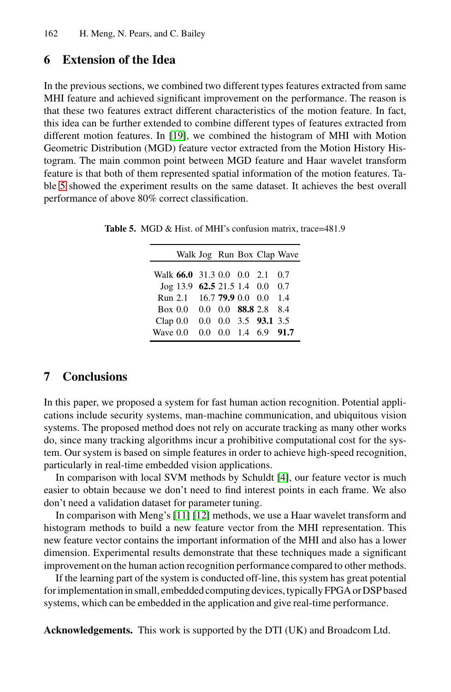# **6 Extension of the Idea**

In the previous sections, we combined two different types features extracted from same MHI feature and achieved significant improvement on the performance. The reason is that these two features extract different characteristics of the motion feature. In fact, this idea can be further extended to combine different types of features extracted from different motion features. In [19], we combined the histogram of MHI with Motion Geometric Distribution (MGD) feature vector extracted from the Motion History Histogram. The main common point between MGD feature and Haar wavelet transform feature is that both of them represented spatial information of the motion features. Table 5 showed the experiment results on the same dataset. It achieves the best overall performance of above 80% correct classification.

Table 5. MGD & Hist. of MHI's confusion matrix, trace=481.9

|          |                                |  |                                                | Walk Jog Run Box Clap Wave |
|----------|--------------------------------|--|------------------------------------------------|----------------------------|
|          | Walk 66.0 31.3 0.0 0.0 2.1 0.7 |  |                                                |                            |
|          | Jog 13.9 62.5 21.5 1.4 0.0 0.7 |  |                                                |                            |
|          | Run 2.1 16.7 79.9 0.0 0.0 1.4  |  |                                                |                            |
|          | Box 0.0 0.0 0.0 88.8 2.8 8.4   |  |                                                |                            |
| Clap 0.0 |                                |  | $0.0$ $0.0$ $3.5$ $93.1$ $3.5$                 |                            |
| Wave 0.0 |                                |  | $0.0 \quad 0.0 \quad 1.4 \quad 6.9 \quad 91.7$ |                            |
|          |                                |  |                                                |                            |

# **7 Conclusions**

In this paper, we proposed a system for fast human action recognition. Potential applications in[clud](#page-12-13)e [sec](#page-12-5)urity systems, man-machine communication, and ubiquitous vision systems. The proposed method does not rely on accurate tracking as many other works do, since many tracking algorithms incur a prohibitive computational cost for the system. Our system is based on simple features in order to achieve high-speed recognition, particularly in real-time embedded vision applications.

In comparison with local SVM methods by Schuldt [4], our feature vector is much easier to obtain because we don't need to find interest points in each frame. We also don't need a validation dataset for parameter tuning.

In comparison with Meng's [11] [12] methods, we use a Haar wavelet transform and histogram methods to build a new feature vector from the MHI representation. This new feature vector contains the important information of the MHI and also has a lower dimension. Experimental results demonstrate that these techniques made a significant improvement on the human action recognition performance compared to other methods.

If the learning part of the system is conducted off-line, this system has great potential for implementation in small, embedded computing devices, typically FPGA or DSP based systems, which can be embedded in the application and give real-time performance.

**Acknowledgements.** This work is supported by the DTI (UK) and Broadcom Ltd.